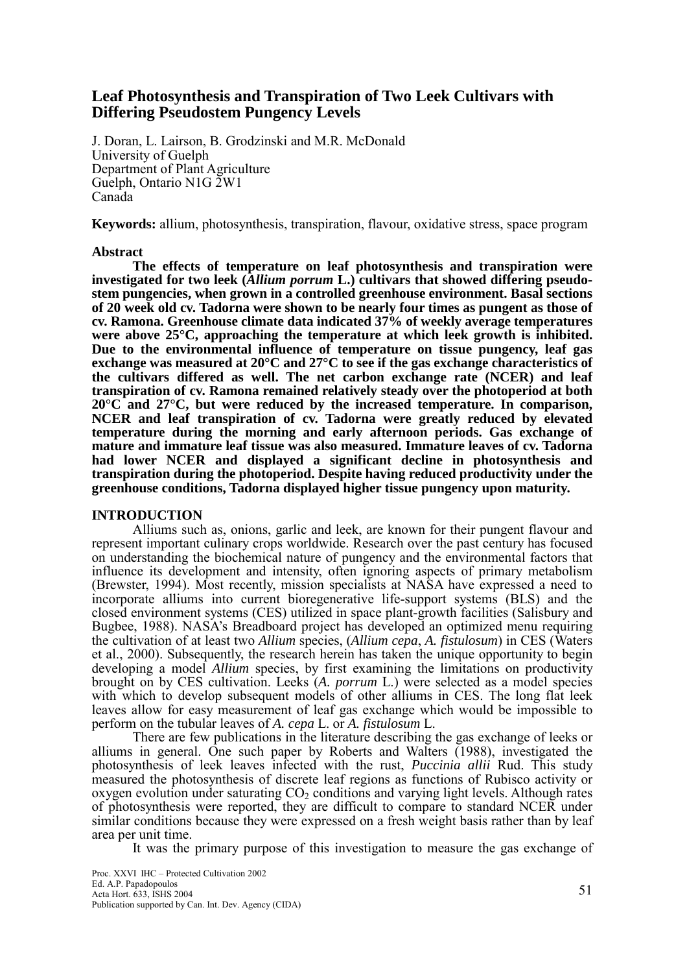## **Leaf Photosynthesis and Transpiration of Two Leek Cultivars with Differing Pseudostem Pungency Levels**

J. Doran, L. Lairson, B. Grodzinski and M.R. McDonald University of Guelph Department of Plant Agriculture Guelph, Ontario N1G 2W1 Canada

**Keywords:** allium, photosynthesis, transpiration, flavour, oxidative stress, space program

## **Abstract**

**The effects of temperature on leaf photosynthesis and transpiration were investigated for two leek (***Allium porrum* **L.) cultivars that showed differing pseudostem pungencies, when grown in a controlled greenhouse environment. Basal sections of 20 week old cv. Tadorna were shown to be nearly four times as pungent as those of cv. Ramona. Greenhouse climate data indicated 37% of weekly average temperatures were above 25°C, approaching the temperature at which leek growth is inhibited. Due to the environmental influence of temperature on tissue pungency, leaf gas exchange was measured at 20°C and 27°C to see if the gas exchange characteristics of the cultivars differed as well. The net carbon exchange rate (NCER) and leaf transpiration of cv. Ramona remained relatively steady over the photoperiod at both 20°C and 27°C, but were reduced by the increased temperature. In comparison, NCER and leaf transpiration of cv. Tadorna were greatly reduced by elevated temperature during the morning and early afternoon periods. Gas exchange of mature and immature leaf tissue was also measured. Immature leaves of cv. Tadorna had lower NCER and displayed a significant decline in photosynthesis and transpiration during the photoperiod. Despite having reduced productivity under the greenhouse conditions, Tadorna displayed higher tissue pungency upon maturity.** 

## **INTRODUCTION**

Alliums such as, onions, garlic and leek, are known for their pungent flavour and represent important culinary crops worldwide. Research over the past century has focused on understanding the biochemical nature of pungency and the environmental factors that influence its development and intensity, often ignoring aspects of primary metabolism (Brewster, 1994). Most recently, mission specialists at NASA have expressed a need to incorporate alliums into current bioregenerative life-support systems (BLS) and the closed environment systems (CES) utilized in space plant-growth facilities (Salisbury and Bugbee, 1988). NASAís Breadboard project has developed an optimized menu requiring the cultivation of at least two *Allium* species, (*Allium cepa*, *A. fistulosum*) in CES (Waters et al., 2000). Subsequently, the research herein has taken the unique opportunity to begin developing a model *Allium* species, by first examining the limitations on productivity brought on by CES cultivation. Leeks (*A. porrum* L.) were selected as a model species with which to develop subsequent models of other alliums in CES. The long flat leek leaves allow for easy measurement of leaf gas exchange which would be impossible to perform on the tubular leaves of *A. cepa* L. or *A. fistulosum* L.

There are few publications in the literature describing the gas exchange of leeks or alliums in general. One such paper by Roberts and Walters (1988), investigated the photosynthesis of leek leaves infected with the rust, *Puccinia allii* Rud. This study measured the photosynthesis of discrete leaf regions as functions of Rubisco activity or oxygen evolution under saturating  $CO<sub>2</sub>$  conditions and varying light levels. Although rates of photosynthesis were reported, they are difficult to compare to standard NCER under similar conditions because they were expressed on a fresh weight basis rather than by leaf area per unit time.

It was the primary purpose of this investigation to measure the gas exchange of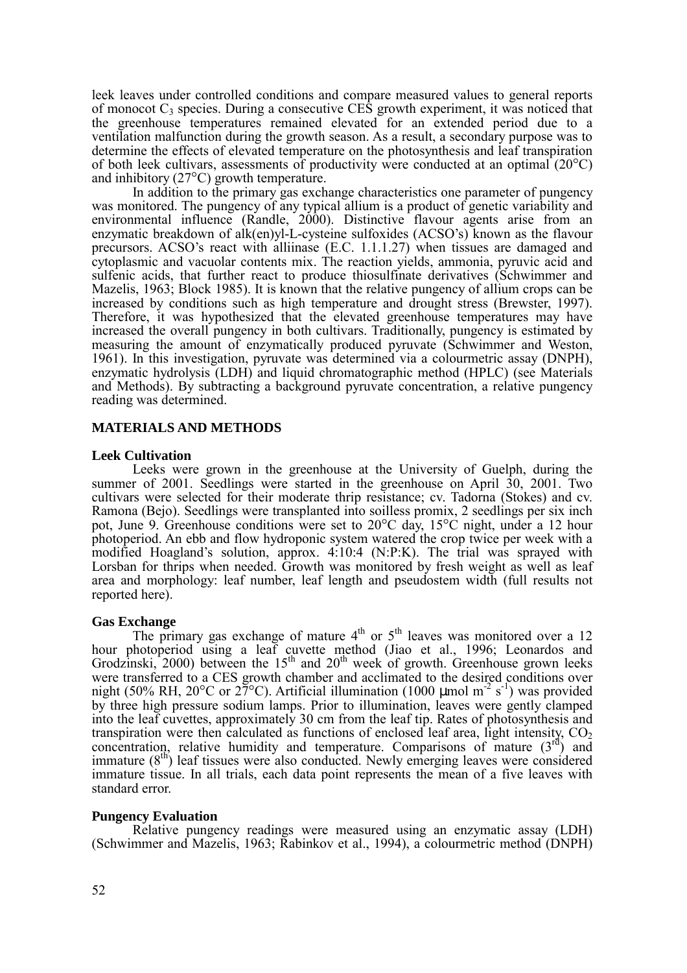leek leaves under controlled conditions and compare measured values to general reports of monocot  $C_3$  species. During a consecutive CES growth experiment, it was noticed that the greenhouse temperatures remained elevated for an extended period due to a ventilation malfunction during the growth season. As a result, a secondary purpose was to determine the effects of elevated temperature on the photosynthesis and leaf transpiration of both leek cultivars, assessments of productivity were conducted at an optimal (20°C) and inhibitory (27°C) growth temperature.

In addition to the primary gas exchange characteristics one parameter of pungency was monitored. The pungency of any typical allium is a product of genetic variability and environmental influence (Randle, 2000). Distinctive flavour agents arise from an enzymatic breakdown of alk(en)yl-L-cysteine sulfoxides (ACSO's) known as the flavour precursors. ACSO's react with alliinase  $(E.C. 1.1.1.27)$  when tissues are damaged and cytoplasmic and vacuolar contents mix. The reaction yields, ammonia, pyruvic acid and sulfenic acids, that further react to produce thiosulfinate derivatives (Schwimmer and Mazelis, 1963; Block 1985). It is known that the relative pungency of allium crops can be increased by conditions such as high temperature and drought stress (Brewster, 1997). Therefore, it was hypothesized that the elevated greenhouse temperatures may have increased the overall pungency in both cultivars. Traditionally, pungency is estimated by measuring the amount of enzymatically produced pyruvate (Schwimmer and Weston, 1961). In this investigation, pyruvate was determined via a colourmetric assay (DNPH), enzymatic hydrolysis (LDH) and liquid chromatographic method (HPLC) (see Materials and Methods). By subtracting a background pyruvate concentration, a relative pungency reading was determined.

## **MATERIALS AND METHODS**

### **Leek Cultivation**

Leeks were grown in the greenhouse at the University of Guelph, during the summer of 2001. Seedlings were started in the greenhouse on April 30, 2001. Two cultivars were selected for their moderate thrip resistance; cv. Tadorna (Stokes) and cv. Ramona (Bejo). Seedlings were transplanted into soilless promix, 2 seedlings per six inch pot, June 9. Greenhouse conditions were set to 20°C day, 15°C night, under a 12 hour photoperiod. An ebb and flow hydroponic system watered the crop twice per week with a modified Hoagland's solution, approx. 4:10:4 (N:P:K). The trial was sprayed with Lorsban for thrips when needed. Growth was monitored by fresh weight as well as leaf area and morphology: leaf number, leaf length and pseudostem width (full results not reported here).

### **Gas Exchange**

The primary gas exchange of mature  $4<sup>th</sup>$  or  $5<sup>th</sup>$  leaves was monitored over a 12 hour photoperiod using a leaf cuvette method (Jiao et al., 1996; Leonardos and Grodzinski, 2000) between the  $15<sup>th</sup>$  and  $20<sup>th</sup>$  week of growth. Greenhouse grown leeks were transferred to a CES growth chamber and acclimated to the desired conditions over night (50% RH, 20°C or 27°C). Artificial illumination (1000 µmol m<sup>-2</sup> s<sup>-1</sup>) was provided by three high pressure sodium lamps. Prior to illumination, leaves were gently clamped into the leaf cuvettes, approximately 30 cm from the leaf tip. Rates of photosynthesis and transpiration were then calculated as functions of enclosed leaf area, light intensity,  $CO<sub>2</sub>$ concentration, relative humidity and temperature. Comparisons of mature  $(3<sup>rd</sup>)$  and immature  $(8<sup>th</sup>)$  leaf tissues were also conducted. Newly emerging leaves were considered immature tissue. In all trials, each data point represents the mean of a five leaves with standard error.

## **Pungency Evaluation**

Relative pungency readings were measured using an enzymatic assay (LDH) (Schwimmer and Mazelis, 1963; Rabinkov et al., 1994), a colourmetric method (DNPH)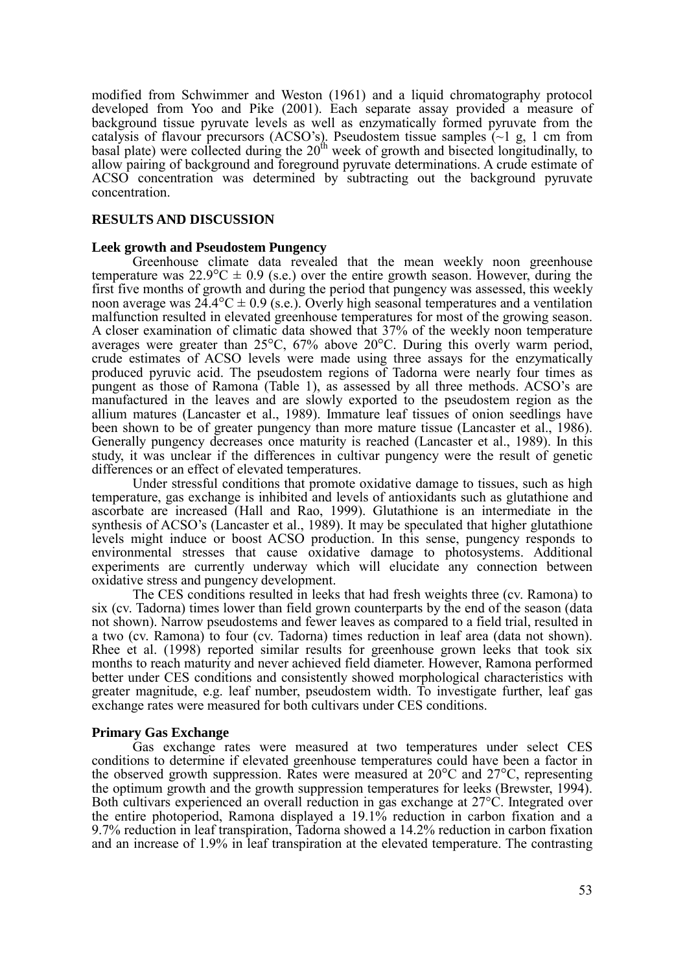modified from Schwimmer and Weston (1961) and a liquid chromatography protocol developed from Yoo and Pike (2001). Each separate assay provided a measure of background tissue pyruvate levels as well as enzymatically formed pyruvate from the catalysis of flavour precursors (ACSO's). Pseudostem tissue samples  $\left(\sim 1 \text{ g}, 1 \text{ cm from}\right)$  $\frac{1}{20}$  basal plate) were collected during the  $20<sup>th</sup>$  week of growth and bisected longitudinally, to allow pairing of background and foreground pyruvate determinations. A crude estimate of ACSO concentration was determined by subtracting out the background pyruvate concentration.

## **RESULTS AND DISCUSSION**

## **Leek growth and Pseudostem Pungency**

Greenhouse climate data revealed that the mean weekly noon greenhouse temperature was  $22.9^{\circ}\text{C} \pm 0.9$  (s.e.) over the entire growth season. However, during the first five months of growth and during the period that pungency was assessed, this weekly noon average was  $2\overline{4}$ .4°C  $\pm$  0.9 (s.e.). Overly high seasonal temperatures and a ventilation malfunction resulted in elevated greenhouse temperatures for most of the growing season. A closer examination of climatic data showed that 37% of the weekly noon temperature averages were greater than 25°C, 67% above 20°C. During this overly warm period, crude estimates of ACSO levels were made using three assays for the enzymatically produced pyruvic acid. The pseudostem regions of Tadorna were nearly four times as pungent as those of Ramona (Table 1), as assessed by all three methods. ACSO's are manufactured in the leaves and are slowly exported to the pseudostem region as the allium matures (Lancaster et al., 1989). Immature leaf tissues of onion seedlings have been shown to be of greater pungency than more mature tissue (Lancaster et al., 1986). Generally pungency decreases once maturity is reached (Lancaster et al., 1989). In this study, it was unclear if the differences in cultivar pungency were the result of genetic differences or an effect of elevated temperatures.

Under stressful conditions that promote oxidative damage to tissues, such as high temperature, gas exchange is inhibited and levels of antioxidants such as glutathione and ascorbate are increased (Hall and Rao, 1999). Glutathione is an intermediate in the synthesis of ACSO's (Lancaster et al., 1989). It may be speculated that higher glutathione levels might induce or boost ACSO production. In this sense, pungency responds to environmental stresses that cause oxidative damage to photosystems. Additional experiments are currently underway which will elucidate any connection between oxidative stress and pungency development.

The CES conditions resulted in leeks that had fresh weights three (cv. Ramona) to six (cv. Tadorna) times lower than field grown counterparts by the end of the season (data not shown). Narrow pseudostems and fewer leaves as compared to a field trial, resulted in a two (cv. Ramona) to four (cv. Tadorna) times reduction in leaf area (data not shown). Rhee et al. (1998) reported similar results for greenhouse grown leeks that took six months to reach maturity and never achieved field diameter. However, Ramona performed better under CES conditions and consistently showed morphological characteristics with greater magnitude, e.g. leaf number, pseudostem width. To investigate further, leaf gas exchange rates were measured for both cultivars under CES conditions.

## **Primary Gas Exchange**

Gas exchange rates were measured at two temperatures under select CES conditions to determine if elevated greenhouse temperatures could have been a factor in the observed growth suppression. Rates were measured at 20°C and 27°C, representing the optimum growth and the growth suppression temperatures for leeks (Brewster, 1994). Both cultivars experienced an overall reduction in gas exchange at 27°C. Integrated over the entire photoperiod, Ramona displayed a 19.1% reduction in carbon fixation and a 9.7% reduction in leaf transpiration, Tadorna showed a 14.2% reduction in carbon fixation and an increase of 1.9% in leaf transpiration at the elevated temperature. The contrasting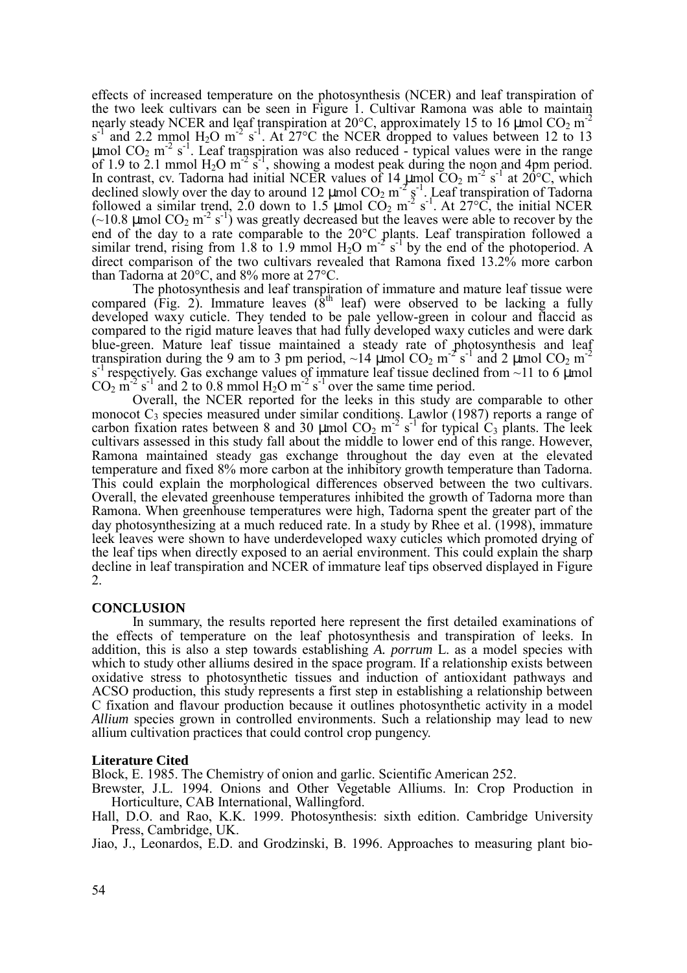effects of increased temperature on the photosynthesis (NCER) and leaf transpiration of the two leek cultivars can be seen in Figure 1. Cultivar Ramona was able to maintain nearly steady NCER and leaf transpiration at  $20^{\circ}$ C, approximately 15 to 16  $\mu$ mol CO<sub>2</sub> m<sup>-2</sup>  $s<sup>-1</sup>$  and 2.2 mmol H<sub>2</sub>O m<sup>-2</sup> s<sup>-1</sup>. At 27<sup>o</sup>C the NCER dropped to values between 12 to 13  $\mu$ mol CO<sub>2</sub> m<sup>-2</sup> s<sup>-1</sup>. Leaf transpiration was also reduced - typical values were in the range of 1.9 to 2.1 mmol  $H_2O$  m<sup>-2</sup> s<sup>-1</sup>, showing a modest peak during the noon and 4pm period. In contrast, cv. Tadorna had initial NCER values of  $14 \mu$ mol  $CO_2$  m<sup>-2</sup> s<sup>-1</sup> at  $20^{\circ}$ C, which declined slowly over the day to around  $12 \mu$ mol  $CO_2$  m<sup>-2</sup>  $\frac{1}{5}$ <sup>-1</sup>. Leaf transpiration of Tadorna followed a similar trend, 2.0 down to  $1.5 \mu$ mol  $CO_2$  m<sup>-2</sup> s<sup>-1</sup>. At 27°C, the initial NCER  $(-10.8 \text{ µmol CO}_2 \text{ m}^{-2} \text{ s}^{-1})$  was greatly decreased but the leaves were able to recover by the end of the day to a rate comparable to the 20°C plants. Leaf transpiration followed a similar trend, rising from 1.8 to 1.9 mmol  $H_2O$  m<sup>-2</sup> s<sup>-1</sup> by the end of the photoperiod. A direct comparison of the two cultivars revealed that Ramona fixed 13.2% more carbon than Tadorna at 20°C, and 8% more at 27°C.

The photosynthesis and leaf transpiration of immature and mature leaf tissue were compared (Fig. 2). Immature leaves ( $8<sup>th</sup>$  leaf) were observed to be lacking a fully developed waxy cuticle. They tended to be pale yellow-green in colour and flaccid as compared to the rigid mature leaves that had fully developed waxy cuticles and were dark blue-green. Mature leaf tissue maintained a steady rate of photosynthesis and leaf transpiration during the 9 am to 3 pm period, ~14 µmol  $CO_2$  m<sup>-2</sup> s<sup>-1</sup> and 2 µmol  $CO_2$  m<sup>-2</sup>  $s^{-1}$  respectively. Gas exchange values of immature leaf tissue declined from ~11 to 6 µmol  $CO<sub>2</sub>$  m<sup>-2</sup> s<sup>-1</sup> and 2 to 0.8 mmol H<sub>2</sub>O m<sup>-2</sup> s<sup>-1</sup> over the same time period.

Overall, the NCER reported for the leeks in this study are comparable to other monocot  $C_3$  species measured under similar conditions. Lawlor (1987) reports a range of carbon fixation rates between 8 and 30  $\mu$ mol CO<sub>2</sub> m<sup>-2</sup> s<sup>-1</sup> for typical C<sub>3</sub> plants. The leek cultivars assessed in this study fall about the middle to lower end of this range. However, Ramona maintained steady gas exchange throughout the day even at the elevated temperature and fixed 8% more carbon at the inhibitory growth temperature than Tadorna. This could explain the morphological differences observed between the two cultivars. Overall, the elevated greenhouse temperatures inhibited the growth of Tadorna more than Ramona. When greenhouse temperatures were high, Tadorna spent the greater part of the day photosynthesizing at a much reduced rate. In a study by Rhee et al. (1998), immature leek leaves were shown to have underdeveloped waxy cuticles which promoted drying of the leaf tips when directly exposed to an aerial environment. This could explain the sharp decline in leaf transpiration and NCER of immature leaf tips observed displayed in Figure 2.

### **CONCLUSION**

In summary, the results reported here represent the first detailed examinations of the effects of temperature on the leaf photosynthesis and transpiration of leeks. In addition, this is also a step towards establishing *A. porrum* L. as a model species with which to study other alliums desired in the space program. If a relationship exists between oxidative stress to photosynthetic tissues and induction of antioxidant pathways and ACSO production, this study represents a first step in establishing a relationship between C fixation and flavour production because it outlines photosynthetic activity in a model *Allium* species grown in controlled environments. Such a relationship may lead to new allium cultivation practices that could control crop pungency.

### **Literature Cited**

Block, E. 1985. The Chemistry of onion and garlic. Scientific American 252.

Brewster, J.L. 1994. Onions and Other Vegetable Alliums. In: Crop Production in Horticulture, CAB International, Wallingford.

Hall, D.O. and Rao, K.K. 1999. Photosynthesis: sixth edition. Cambridge University Press, Cambridge, UK.

Jiao, J., Leonardos, E.D. and Grodzinski, B. 1996. Approaches to measuring plant bio-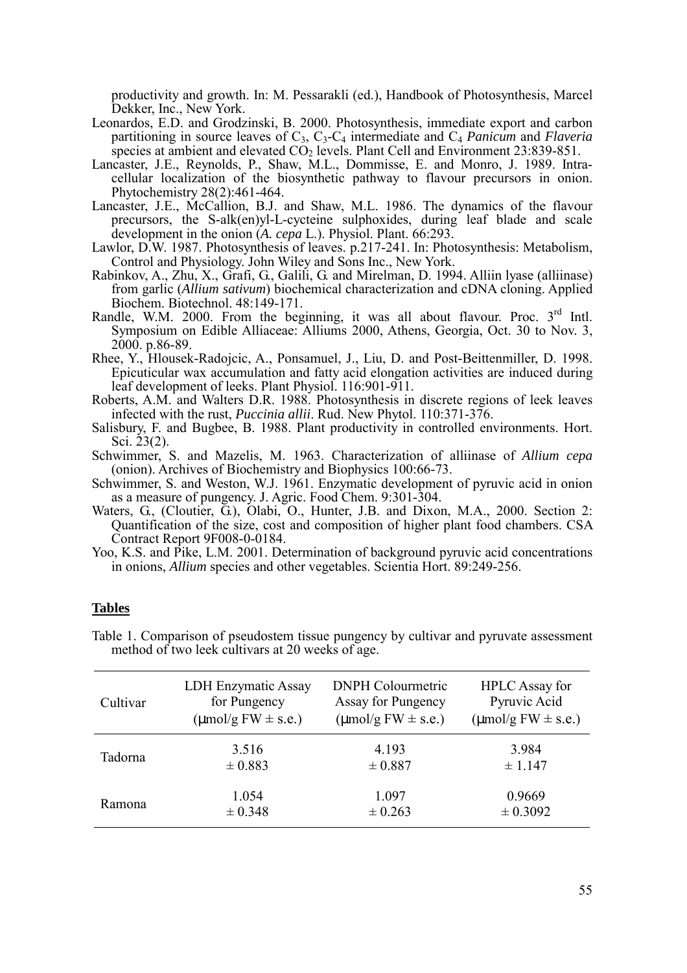productivity and growth. In: M. Pessarakli (ed.), Handbook of Photosynthesis, Marcel Dekker, Inc., New York.

- Leonardos, E.D. and Grodzinski, B. 2000. Photosynthesis, immediate export and carbon partitioning in source leaves of C3, C3-C4 intermediate and C4 *Panicum* and *Flaveria* species at ambient and elevated  $CO<sub>2</sub>$  levels. Plant Cell and Environment 23:839-851.
- Lancaster, J.E., Reynolds, P., Shaw, M.L., Dommisse, E. and Monro, J. 1989. Intracellular localization of the biosynthetic pathway to flavour precursors in onion. Phytochemistry 28(2):461-464.
- Lancaster, J.E., McCallion, B.J. and Shaw, M.L. 1986. The dynamics of the flavour precursors, the S-alk(en)yl-L-cycteine sulphoxides, during leaf blade and scale development in the onion (*A. cepa* L.). Physiol. Plant. 66:293.
- Lawlor, D.W. 1987. Photosynthesis of leaves. p.217-241. In: Photosynthesis: Metabolism, Control and Physiology. John Wiley and Sons Inc., New York.
- Rabinkov, A., Zhu, X., Grafi, G., Galili, G. and Mirelman, D. 1994. Alliin lyase (alliinase) from garlic (*Allium sativum*) biochemical characterization and cDNA cloning. Applied Biochem. Biotechnol. 48:149-171.
- Randle, W.M. 2000. From the beginning, it was all about flavour. Proc.  $3<sup>rd</sup>$  Intl. Symposium on Edible Alliaceae: Alliums 2000, Athens, Georgia, Oct. 30 to Nov. 3, 2000. p.86-89.
- Rhee, Y., Hlousek-Radojcic, A., Ponsamuel, J., Liu, D. and Post-Beittenmiller, D. 1998. Epicuticular wax accumulation and fatty acid elongation activities are induced during leaf development of leeks. Plant Physiol. 116:901-911.
- Roberts, A.M. and Walters D.R. 1988. Photosynthesis in discrete regions of leek leaves infected with the rust, *Puccinia allii*. Rud. New Phytol. 110:371-376.
- Salisbury, F. and Bugbee, B. 1988. Plant productivity in controlled environments. Hort. Sci.  $23(2)$ .
- Schwimmer, S. and Mazelis, M. 1963. Characterization of alliinase of *Allium cepa* (onion). Archives of Biochemistry and Biophysics 100:66-73.
- Schwimmer, S. and Weston, W.J. 1961. Enzymatic development of pyruvic acid in onion as a measure of pungency. J. Agric. Food Chem. 9:301-304.
- Waters, G., (Cloutier, G.), Olabi, O., Hunter, J.B. and Dixon, M.A., 2000. Section 2: Quantification of the size, cost and composition of higher plant food chambers. CSA Contract Report 9F008-0-0184.
- Yoo, K.S. and Pike, L.M. 2001. Determination of background pyruvic acid concentrations in onions, *Allium* species and other vegetables. Scientia Hort. 89:249-256.

### **Tables**

| Table 1. Comparison of pseudostem tissue pungency by cultivar and pyruvate assessment |  |  |  |
|---------------------------------------------------------------------------------------|--|--|--|
| method of two leek cultivars at 20 weeks of age.                                      |  |  |  |

| Cultivar | LDH Enzymatic Assay                     | <b>DNPH Colourmetric</b>                | <b>HPLC</b> Assay for                   |
|----------|-----------------------------------------|-----------------------------------------|-----------------------------------------|
|          | for Pungency                            | Assay for Pungency                      | Pyruvic Acid                            |
|          | $(\mu \text{mol/g FW} \pm \text{s.e.})$ | $(\mu \text{mol/g FW} \pm \text{s.e.})$ | $(\mu \text{mol/g FW} \pm \text{s.e.})$ |
| Tadorna  | 3.516                                   | 4.193                                   | 3.984                                   |
|          | $\pm 0.883$                             | ± 0.887                                 | $\pm$ 1.147                             |
| Ramona   | 1.054                                   | 1.097                                   | 0.9669                                  |
|          | ± 0.348                                 | $\pm 0.263$                             | ± 0.3092                                |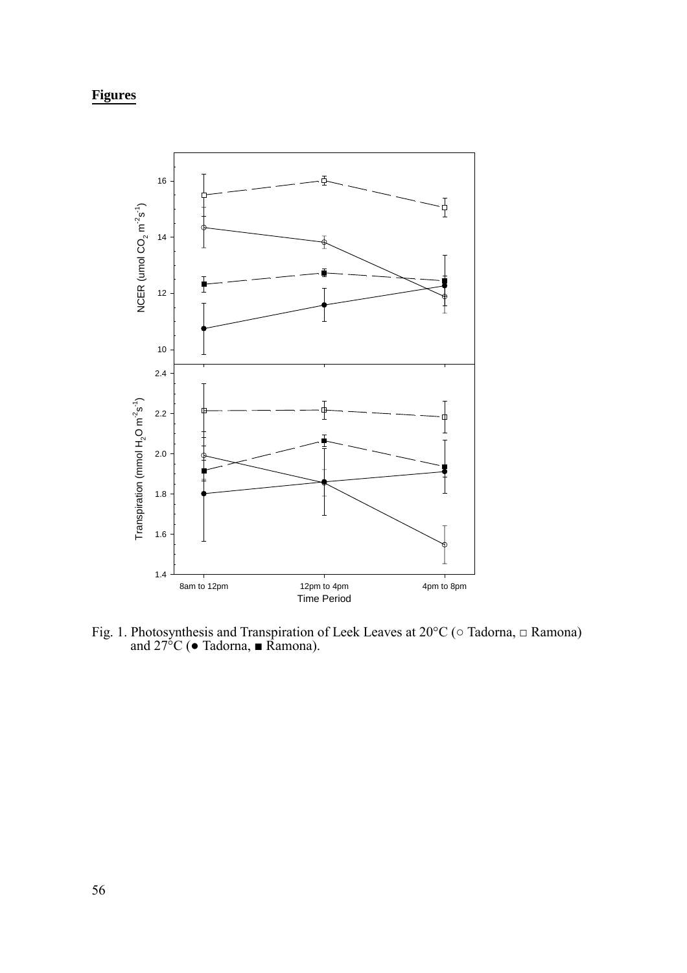# **Figures**



Fig. 1. Photosynthesis and Transpiration of Leek Leaves at 20°C (○ Tadorna, □ Ramona) and  $27^{\circ}$ C ( $\bullet$  Tadorna,  $\blacksquare$  Ramona).